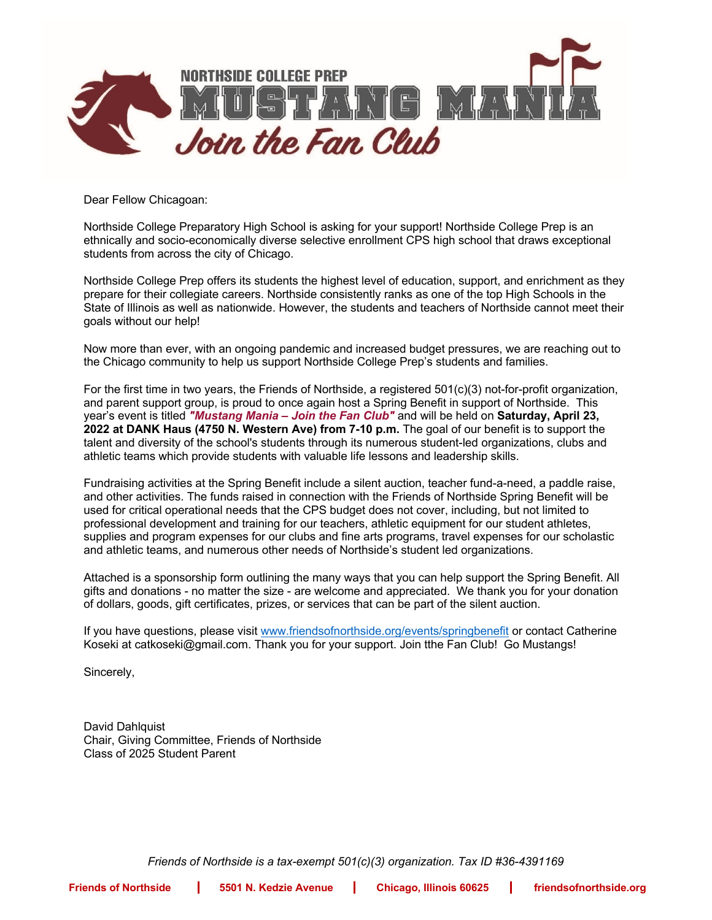

Dear Fellow Chicagoan:

Northside College Preparatory High School is asking for your support! Northside College Prep is an ethnically and socio-economically diverse selective enrollment CPS high school that draws exceptional students from across the city of Chicago.

Northside College Prep offers its students the highest level of education, support, and enrichment as they prepare for their collegiate careers. Northside consistently ranks as one of the top High Schools in the State of Illinois as well as nationwide. However, the students and teachers of Northside cannot meet their goals without our help!

Now more than ever, with an ongoing pandemic and increased budget pressures, we are reaching out to the Chicago community to help us support Northside College Prep's students and families.

For the first time in two years, the Friends of Northside, a registered 501(c)(3) not-for-profit organization, and parent support group, is proud to once again host a Spring Benefit in support of Northside. This year's event is titled *"Mustang Mania – Join the Fan Club"* and will be held on **Saturday, April 23, 2022 at DANK Haus (4750 N. Western Ave) from 7-10 p.m.** The goal of our benefit is to support the talent and diversity of the school's students through its numerous student-led organizations, clubs and athletic teams which provide students with valuable life lessons and leadership skills.

Fundraising activities at the Spring Benefit include a silent auction, teacher fund-a-need, a paddle raise, and other activities. The funds raised in connection with the Friends of Northside Spring Benefit will be used for critical operational needs that the CPS budget does not cover, including, but not limited to professional development and training for our teachers, athletic equipment for our student athletes, supplies and program expenses for our clubs and fine arts programs, travel expenses for our scholastic and athletic teams, and numerous other needs of Northside's student led organizations.

Attached is a sponsorship form outlining the many ways that you can help support the Spring Benefit. All gifts and donations - no matter the size - are welcome and appreciated. We thank you for your donation of dollars, goods, gift certificates, prizes, or services that can be part of the silent auction.

If you have questions, please visit www.friendsofnorthside.org/events/springbenefit or contact Catherine Koseki at catkoseki@gmail.com. Thank you for your support. Join tthe Fan Club! Go Mustangs!

Sincerely,

David Dahlquist Chair, Giving Committee, Friends of Northside Class of 2025 Student Parent

*Friends of Northside is a tax-exempt 501(c)(3) organization. Tax ID #36-4391169*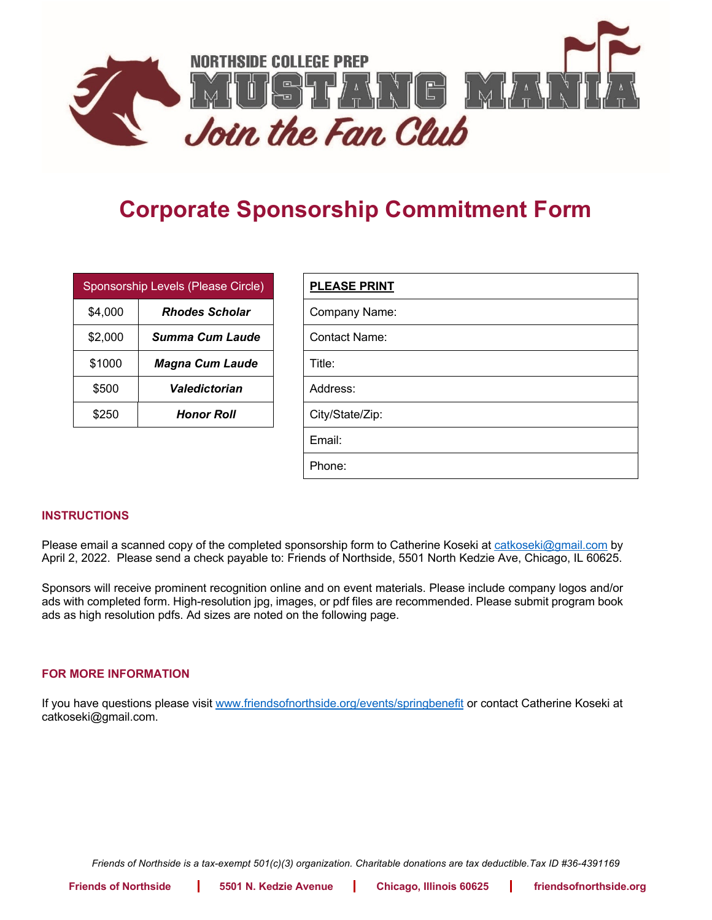

## **Corporate Sponsorship Commitment Form**

| Sponsorship Levels (Please Circle) |                        | <b>PLEASE PRINT</b>  |
|------------------------------------|------------------------|----------------------|
| \$4,000                            | <b>Rhodes Scholar</b>  | <b>Company Name:</b> |
| \$2,000                            | Summa Cum Laude        | Contact Name:        |
| \$1000                             | <b>Magna Cum Laude</b> | Title:               |
| \$500                              | Valedictorian          | Address:             |
| \$250                              | <b>Honor Roll</b>      | City/State/Zip:      |

| <b>PLEASE PRINT</b>  |
|----------------------|
| Company Name:        |
| <b>Contact Name:</b> |
| Title:               |
| Address:             |
| City/State/Zip:      |
| Email:               |
| Phone:               |

## **INSTRUCTIONS**

Please email a scanned copy of the completed sponsorship form to Catherine Koseki at catkoseki@gmail.com by April 2, 2022. Please send a check payable to: Friends of Northside, 5501 North Kedzie Ave, Chicago, IL 60625.

Sponsors will receive prominent recognition online and on event materials. Please include company logos and/or ads with completed form. High-resolution jpg, images, or pdf files are recommended. Please submit program book ads as high resolution pdfs. Ad sizes are noted on the following page.

## **FOR MORE INFORMATION**

If you have questions please visit www.friendsofnorthside.org/events/springbenefit or contact Catherine Koseki at catkoseki@gmail.com.

*Friends of Northside is a tax-exempt 501(c)(3) organization. Charitable donations are tax deductible.Tax ID #36-4391169*